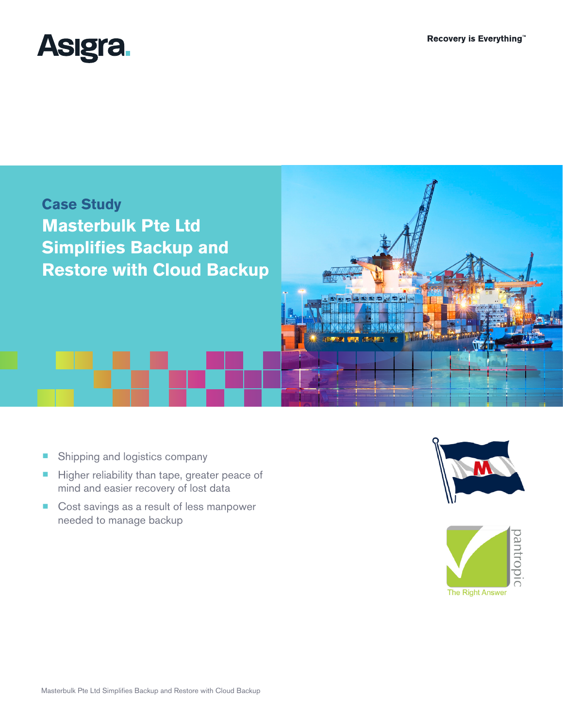



- Shipping and logistics company
- Higher reliability than tape, greater peace of mind and easier recovery of lost data
- Cost savings as a result of less manpower needed to manage backup



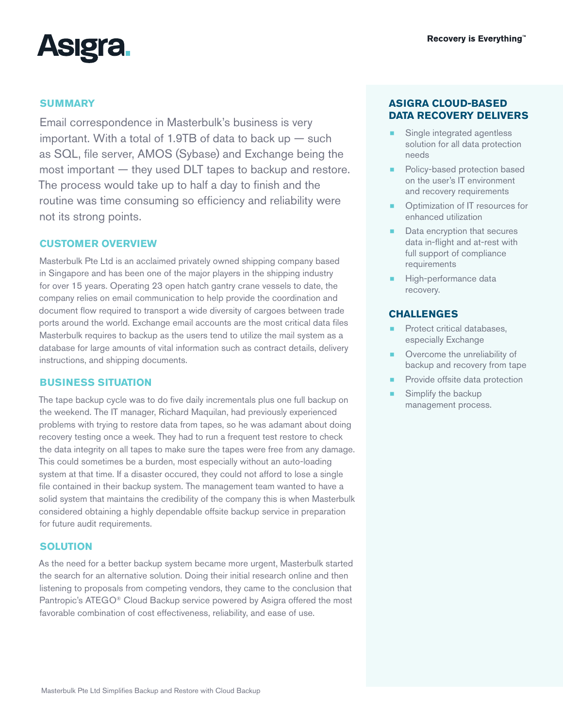

## **SUMMARY**

Email correspondence in Masterbulk's business is very important. With a total of 1.9TB of data to back up — such as SQL, file server, AMOS (Sybase) and Exchange being the most important — they used DLT tapes to backup and restore. The process would take up to half a day to finish and the routine was time consuming so efficiency and reliability were not its strong points.

### **CUSTOMER OVERVIEW**

Masterbulk Pte Ltd is an acclaimed privately owned shipping company based in Singapore and has been one of the major players in the shipping industry for over 15 years. Operating 23 open hatch gantry crane vessels to date, the company relies on email communication to help provide the coordination and document flow required to transport a wide diversity of cargoes between trade ports around the world. Exchange email accounts are the most critical data files Masterbulk requires to backup as the users tend to utilize the mail system as a database for large amounts of vital information such as contract details, delivery instructions, and shipping documents.

### **BUSINESS SITUATION**

The tape backup cycle was to do five daily incrementals plus one full backup on the weekend. The IT manager, Richard Maquilan, had previously experienced problems with trying to restore data from tapes, so he was adamant about doing recovery testing once a week. They had to run a frequent test restore to check the data integrity on all tapes to make sure the tapes were free from any damage. This could sometimes be a burden, most especially without an auto-loading system at that time. If a disaster occured, they could not afford to lose a single file contained in their backup system. The management team wanted to have a solid system that maintains the credibility of the company this is when Masterbulk considered obtaining a highly dependable offsite backup service in preparation for future audit requirements.

### **SOLUTION**

As the need for a better backup system became more urgent, Masterbulk started the search for an alternative solution. Doing their initial research online and then listening to proposals from competing vendors, they came to the conclusion that Pantropic's ATEGO<sup>®</sup> Cloud Backup service powered by Asigra offered the most favorable combination of cost effectiveness, reliability, and ease of use.

## **ASIGRA CLOUD-BASED DATA RECOVERY DELIVERS**

- Single integrated agentless solution for all data protection needs
- Policy-based protection based on the user's IT environment and recovery requirements
- Optimization of IT resources for enhanced utilization
- Data encryption that secures data in-flight and at-rest with full support of compliance requirements
- High-performance data recovery.

### **CHALLENGES**

- Protect critical databases, especially Exchange
- Overcome the unreliability of backup and recovery from tape
- Provide offsite data protection
- Simplify the backup management process.